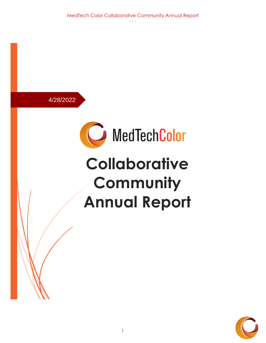MedTech Color Collaborative Community Annual Report

4/28/2022



## **Collaborative** Community **Annual Report**

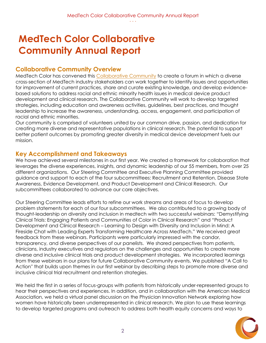## **MedTech Color Collaborative Community Annual Report**

#### **Collaborative Community Overview**

MedTech Color has convened this [Collaborative Community](https://medtechcolor.org/collaborative-community/) to create a forum in which a diverse cross-section of MedTech industry stakeholders can work together to identify issues and opportunities for improvement of current practices, share and curate existing knowledge, and develop evidencebased solutions to address racial and ethnic minority health issues in medical device product development and clinical research. The Collaborative Community will work to develop targeted strategies, including education and awareness activities, guidelines, best practices, and thought leadership to increase the awareness, understanding, access, engagement, and participation of racial and ethnic minorities.

Our community is comprised of volunteers united by our common drive, passion, and dedication for creating more diverse and representative populations in clinical research. The potential to support better patient outcomes by promoting greater diversity in medical device development fuels our mission.

#### **Key Accomplishment and Takeaways**

We have achieved several milestones in our first year. We created a framework for collaboration that leverages the diverse experiences, insights, and dynamic leadership of our 55 members, from over 25 different organizations. Our Steering Committee and Executive Planning Committee provided guidance and support to each of the four subcommittees: Recruitment and Retention, Disease State Awareness, Evidence Development, and Product Development and Clinical Research. Our subcommittees collaborated to advance our core objectives.

Our Steering Committee leads efforts to refine our work streams and areas of focus to develop problem statements for each of our four subcommittees. We also contributed to a growing body of thought-leadership on diversity and inclusion in medtech with two successful webinars: "Demystifying Clinical Trials: Engaging Patients and Communities of Color in Clinical Research" and "Product Development and Clinical Research – Learning to Design with Diversity and Inclusion in Mind: A Fireside Chat with Leading Experts Transforming Healthcare Across MedTech." We received great feedback from these webinars. Participants were particularly impressed with the candor, transparency, and diverse perspectives of our panelists. We shared perspectives from patients, clinicians, industry executives and regulators on the challenges and opportunities to create more diverse and inclusive clinical trials and product development strategies. We incorporated learnings from these webinars in our plans for future Collaborative Community events. We published "A Call to Action'' that builds upon themes in our first webinar by describing steps to promote more diverse and inclusive clinical trial recruitment and retention strategies.

We held the first in a series of focus-groups with patients from historically under-represented groups to hear their perspectives and experiences. In addition, and in collaboration with the American Medical Association, we held a virtual panel discussion on the Physician Innovation Network exploring how women have historically been underrepresented in clinical research. We plan to use these learnings to develop targeted programs and outreach to address both health equity concerns and ways to

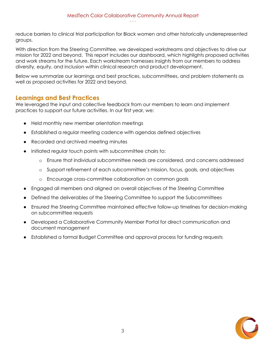reduce barriers to clinical trial participation for Black women and other historically underrepresented groups.

With direction from the Steering Committee, we developed workstreams and objectives to drive our mission for 2022 and beyond. This report includes our dashboard, which highlights proposed activities and work streams for the future. Each workstream harnesses insights from our members to address diversity, equity, and inclusion within clinical research and product development.

Below we summarize our learnings and best practices, subcommittees, and problem statements as well as proposed activities for 2022 and beyond.

#### **Learnings and Best Practices**

We leveraged the input and collective feedback from our members to learn and implement practices to support our future activities. In our first year, we:

- Held monthly new member orientation meetings
- Established a regular meeting cadence with agendas defined objectives
- Recorded and archived meeting minutes
- Initiated regular touch points with subcommittee chairs to:
	- o Ensure that individual subcommittee needs are considered, and concerns addressed
	- o Support refinement of each subcommittee's mission, focus, goals, and objectives
	- o Encourage cross-committee collaboration on common goals
- Engaged all members and aligned on overall objectives of the Steering Committee
- Defined the deliverables of the Steering Committee to support the Subcommittees
- Ensured the Steering Committee maintained effective follow-up timelines for decision-making on subcommittee requests
- Developed a Collaborative Community Member Portal for direct communication and document management
- Established a formal Budget Committee and approval process for funding requests

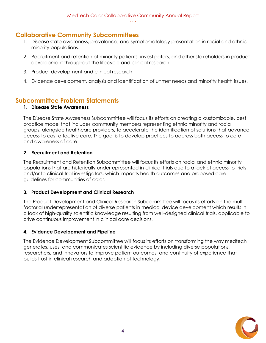#### **Collaborative Community Subcommittees**

- 1. Disease state awareness, prevalence, and symptomatology presentation in racial and ethnic minority populations.
- 2. Recruitment and retention of minority patients, investigators, and other stakeholders in product development throughout the lifecycle and clinical research.
- 3. Product development and clinical research.
- 4. Evidence development, analysis and identification of unmet needs and minority health issues.

#### **Subcommittee Problem Statements**

#### **1. Disease State Awareness**

The Disease State Awareness Subcommittee will focus its efforts on creating a customizable, best practice model that includes community members representing ethnic minority and racial groups, alongside healthcare providers, to accelerate the identification of solutions that advance access to cost effective care. The goal is to develop practices to address both access to care and awareness of care.

#### **2. Recruitment and Retention**

The Recruitment and Retention Subcommittee will focus its efforts on racial and ethnic minority populations that are historically underrepresented in clinical trials due to a lack of access to trials and/or to clinical trial investigators, which impacts health outcomes and proposed care guidelines for communities of color.

#### **3. Product Development and Clinical Research**

The Product Development and Clinical Research Subcommittee will focus its efforts on the multifactorial underrepresentation of diverse patients in medical device development which results in a lack of high-quality scientific knowledge resulting from well-designed clinical trials, applicable to drive continuous improvement in clinical care decisions.

#### **4. Evidence Development and Pipeline**

The Evidence Development Subcommittee will focus its efforts on transforming the way medtech generates, uses, and communicates scientific evidence by including diverse populations, researchers, and innovators to improve patient outcomes, and continuity of experience that builds trust in clinical research and adoption of technology.

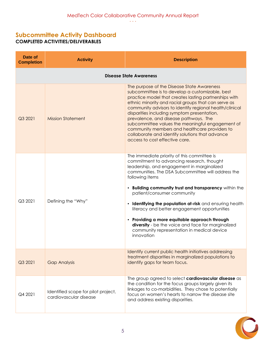#### **Subcommittee Activity Dashboard COMPLETED ACTIVITIES/DELIVERABLES**

| Date of<br><b>Completion</b>   | <b>Activity</b>                                               | <b>Description</b>                                                                                                                                                                                                                                                                                                                                                                                                                                                                                                                                                                          |
|--------------------------------|---------------------------------------------------------------|---------------------------------------------------------------------------------------------------------------------------------------------------------------------------------------------------------------------------------------------------------------------------------------------------------------------------------------------------------------------------------------------------------------------------------------------------------------------------------------------------------------------------------------------------------------------------------------------|
| <b>Disease State Awareness</b> |                                                               |                                                                                                                                                                                                                                                                                                                                                                                                                                                                                                                                                                                             |
| Q3 2021                        | <b>Mission Statement</b>                                      | The purpose of the Disease State Awareness<br>subcommittee is to develop a customizable, best<br>practice model that creates lasting partnerships with<br>ethnic minority and racial groups that can serve as<br>community advisors to identify regional health/clinical<br>disparities including symptom presentation,<br>prevalence, and disease pathways. The<br>subcommittee values the meaningful engagement of<br>community members and healthcare providers to<br>collaborate and identify solutions that advance<br>access to cost effective care.                                  |
| Q3 2021                        | Defining the "Why"                                            | The immediate priority of this committee is<br>commitment to advancing research, thought<br>leadership, and engagement in marginalized<br>communities. The DSA Subcommittee will address the<br>following items<br>. Building community trust and transparency within the<br>patient/consumer community<br><b>Identifying the population at-risk</b> and ensuring health<br>literacy and better engagement opportunities<br>• Providing a more equitable approach through<br>diversity - be the voice and face for marginalized<br>community representation in medical device<br>innovation |
| Q3 2021                        | <b>Gap Analysis</b>                                           | Identify current public health initiatives addressing<br>treatment disparities in marginalized populations to<br>identify gaps for team focus.                                                                                                                                                                                                                                                                                                                                                                                                                                              |
| Q4 2021                        | Identified scope for pilot project,<br>cardiovascular disease | The group agreed to select cardiovascular disease as<br>the condition for the focus groups largely given its<br>linkages to co-morbidities. They chose to potentially<br>focus on women's hearts to narrow the disease site<br>and address existing disparities.                                                                                                                                                                                                                                                                                                                            |

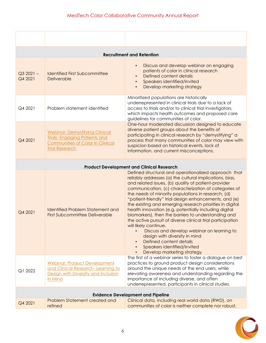∙ ∙ ∙

| <b>Recruitment and Retention</b>         |                                                                                                                                                  |                                                                                                                                                                                                                                                                                                                                                                                                                                                                                                                                                                                                                                                                                                                                                                                         |  |
|------------------------------------------|--------------------------------------------------------------------------------------------------------------------------------------------------|-----------------------------------------------------------------------------------------------------------------------------------------------------------------------------------------------------------------------------------------------------------------------------------------------------------------------------------------------------------------------------------------------------------------------------------------------------------------------------------------------------------------------------------------------------------------------------------------------------------------------------------------------------------------------------------------------------------------------------------------------------------------------------------------|--|
| $Q32021 -$<br>Q4 2021                    | <b>Identified First Subcommittee</b><br>Deliverable                                                                                              | Discuss and develop webinar on engaging<br>patients of color in clinical research<br>Defined content details<br>Speakers identified/invited<br>Develop marketing strategy                                                                                                                                                                                                                                                                                                                                                                                                                                                                                                                                                                                                               |  |
| Q4 2021                                  | Problem statement identified                                                                                                                     | Minoritized populations are historically<br>underrepresented in clinical trials due to a lack of<br>access to trials and/or to clinical trial investigators,<br>which impacts health outcomes and proposed care<br>guidelines for communities of color.                                                                                                                                                                                                                                                                                                                                                                                                                                                                                                                                 |  |
| Q4 2021                                  | <b>Webinar: Demystifying Clinical</b><br><b>Trials-Engaging Patients and</b><br><b>Communities of Color in Clinical</b><br><b>Trial Research</b> | One-hour moderated discussion designed to educate<br>diverse patient groups about the benefits of<br>participating in clinical research by "demystifying" a<br>process that many communities of color may view with<br>suspicion based on historical events, lack of<br>information, and current misconceptions.                                                                                                                                                                                                                                                                                                                                                                                                                                                                        |  |
|                                          | <b>Product Development and Clinical Research</b>                                                                                                 |                                                                                                                                                                                                                                                                                                                                                                                                                                                                                                                                                                                                                                                                                                                                                                                         |  |
| Q4 2021                                  | <b>Identified Problem Statement and</b><br><b>First Subcommittee Deliverable</b>                                                                 | Defined structural and operationalized approach that<br>reliably addresses (a) the cultural implications, bias,<br>and related issues, (b) quality of patient-provider<br>communication, (c) characterization of categories of<br>the needs of minority populations in research, (d)<br>"patient-friendly" trial design enhancements, and (e)<br>the existing and emerging research priorities in digital<br>health innovation (e.g. potentially including digital<br>biomarkers), then the barriers to understanding and<br>the active pursuit of diverse clinical trial participation<br>will likely continue.<br>Discuss and develop webinar on learning to<br>design with diversity in mind<br>Defined content details<br>Speakers identified/invited<br>Develop marketing strategy |  |
| Q1 2022                                  | <b>Webinar: Product Development</b><br>and Clinical Research-Learning to<br>Design with Diversity and Inclusion<br>in Mind                       | The first of a webinar series to foster a dialogue on best<br>practices to ground product design considerations<br>around the unique needs of the end users, while<br>elevating awareness and understanding regarding the<br>importance of including diverse, and often<br>underrepresented, participants in clinical studies.                                                                                                                                                                                                                                                                                                                                                                                                                                                          |  |
| <b>Evidence Development and Pipeline</b> |                                                                                                                                                  |                                                                                                                                                                                                                                                                                                                                                                                                                                                                                                                                                                                                                                                                                                                                                                                         |  |
| Q4 2021                                  | Problem Statement created and<br>refined                                                                                                         | Clinical data, including real world data (RWD), on<br>communities of color is neither complete nor robust.                                                                                                                                                                                                                                                                                                                                                                                                                                                                                                                                                                                                                                                                              |  |

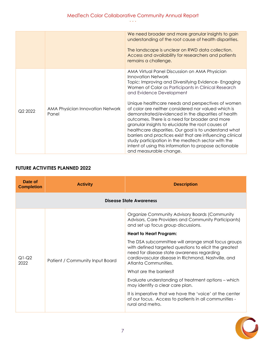|         |                                           | We need broader and more granular insights to gain<br>understanding of the root cause of health disparities.<br>The landscape is unclear on RWD data collection.<br>Access and availability for researchers and patients<br>remains a challenge.                                                                                                                                                                                                                                                                                                                                                                                                                                                                                                                  |
|---------|-------------------------------------------|-------------------------------------------------------------------------------------------------------------------------------------------------------------------------------------------------------------------------------------------------------------------------------------------------------------------------------------------------------------------------------------------------------------------------------------------------------------------------------------------------------------------------------------------------------------------------------------------------------------------------------------------------------------------------------------------------------------------------------------------------------------------|
| Q2 2022 | AMA Physician Innovation Network<br>Panel | AMA Virtual Panel Discussion on AMA Physician<br><b>Innovation Network</b><br>Topic: Improving and Diversifying Evidence- Engaging<br>Women of Color as Participants in Clinical Research<br>and Evidence Development<br>Unique healthcare needs and perspectives of women<br>of color are neither considered nor valued which is<br>demonstrated/evidenced in the disparities of health<br>outcomes. There is a need for broader and more<br>granular insights to elucidate the root causes of<br>healthcare disparities. Our goal is to understand what<br>barriers and practices exist that are influencing clinical<br>study participation in the medtech sector with the<br>intent of using this information to propose actionable<br>and measurable change. |

#### **FUTURE ACTIVITIES PLANNED 2022**

| Date of<br><b>Completion</b> | <b>Activity</b>                 | <b>Description</b>                                                                                                                                                                                                                         |
|------------------------------|---------------------------------|--------------------------------------------------------------------------------------------------------------------------------------------------------------------------------------------------------------------------------------------|
| Disease State Awareness      |                                 |                                                                                                                                                                                                                                            |
| $Q1-Q2$<br>2022              |                                 | Organize Community Advisory Boards (Community<br>Advisors, Care Providers and Community Participants)<br>and set up focus group discussions.                                                                                               |
|                              |                                 | <b>Heart to Heart Program:</b>                                                                                                                                                                                                             |
|                              | Patient / Community Input Board | The DSA subcommittee will arrange small focus groups<br>with defined targeted questions to elicit the greatest<br>need for disease state awareness regarding<br>cardiovascular disease in Richmond, Nashville, and<br>Atlanta Communities. |
|                              |                                 | What are the barriers?                                                                                                                                                                                                                     |
|                              |                                 | Evaluate understanding of treatment options - which<br>may identify a clear care plan.                                                                                                                                                     |
|                              |                                 | It is imperative that we have the 'voice' at the center<br>of our focus. Access to patients in all communities -<br>rural and metro.                                                                                                       |

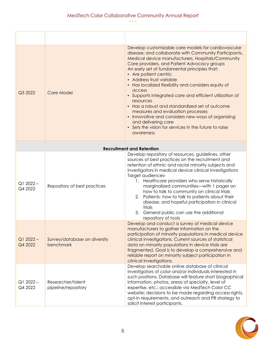∙ ∙ ∙

| Q3 2022               | <b>Care Model</b>                         | Develop customizable care models for cardiovascular<br>disease; and collaborate with Community Participants,<br>Medical device manufacturers, Hospitals/Community<br>Care providers, and Patient Advocacy groups<br>An early set of fundamental principles that:<br>• Are patient centric<br>• Address trust variable<br>• Has localized flexibility and considers equity of<br>access<br>• Supports integrated care and efficient utilization of<br>resources<br>• Has a robust and standardized set of outcome<br>measures and evaluation processes<br>• Innovative and considers new ways of organizing<br>and delivering care<br>• Sets the vision for services in the future to raise<br>awareness |
|-----------------------|-------------------------------------------|---------------------------------------------------------------------------------------------------------------------------------------------------------------------------------------------------------------------------------------------------------------------------------------------------------------------------------------------------------------------------------------------------------------------------------------------------------------------------------------------------------------------------------------------------------------------------------------------------------------------------------------------------------------------------------------------------------|
|                       |                                           | <b>Recruitment and Retention</b>                                                                                                                                                                                                                                                                                                                                                                                                                                                                                                                                                                                                                                                                        |
| $Q12022 -$<br>Q4 2022 | Repository of best practices              | Develop repository of resources, guidelines, other<br>sources of best practices on the recruitment and<br>retention of ethnic and racial minority subjects and<br>investigators in medical device clinical investigations<br>Target audiences-<br>1. Healthcare providers who serve historically<br>marginalized communities-with 1 pager on<br>how to talk to community on clinical trials<br>2. Patients-how to talk to patients about their<br>disease, and hopeful participation in clinical<br>trials<br>3. General public can use the additional<br>repository of tools                                                                                                                           |
| $Q12022 -$<br>Q4 2022 | Survey/database on diversity<br>benchmark | Develop and conduct a survey of medical device<br>manufacturers to gather information on the<br>participation of minority populations in medical device<br>clinical investigations. Current sources of statistical<br>data on minority populations in device trials are<br>fragmented. Goal is to develop a comprehensive and<br>reliable report on minority subject participation in<br>clinical investigations.                                                                                                                                                                                                                                                                                       |
| $Q12022 -$<br>Q4 2022 | Researcher/talent<br>pipeline/repository  | Develop searchable online database of clinical<br>investigators of color and/or individuals interested in<br>such positions. Database will feature short biographical<br>information, photos, areas of specialty, level of<br>expertise, etc.; accessible via MedTech Color CC<br>website; decisions to be made regarding access rights,<br>opt-in requirements, and outreach and PR strategy to<br>solicit interest participants.                                                                                                                                                                                                                                                                      |

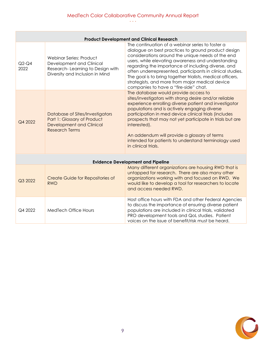∙ ∙ ∙

|                                          | <b>Product Development and Clinical Research</b> |                                                                                                                            |                                                                                                                                                                                                                                                                                                                                                                                                                                                                                                 |  |
|------------------------------------------|--------------------------------------------------|----------------------------------------------------------------------------------------------------------------------------|-------------------------------------------------------------------------------------------------------------------------------------------------------------------------------------------------------------------------------------------------------------------------------------------------------------------------------------------------------------------------------------------------------------------------------------------------------------------------------------------------|--|
|                                          | $Q2-Q4$<br>2022                                  | Webinar Series: Product<br>Development and Clinical<br>Research-Learning to Design with<br>Diversity and Inclusion in Mind | The continuation of a webinar series to foster a<br>dialogue on best practices to ground product design<br>considerations around the unique needs of the end<br>users, while elevating awareness and understanding<br>regarding the importance of including diverse, and<br>often underrepresented, participants in clinical studies.<br>The goal is to bring together trialists, medical officers,<br>strategists, and more from major medical device<br>companies to have a "fire-side" chat. |  |
|                                          | Q4 2022                                          | Database of Sites/Investigators<br>Part 1: Glossary of Product<br><b>Development and Clinical</b><br><b>Research Terms</b> | The database would provide access to<br>sites/investigators with strong desire and/or reliable<br>experience enrolling diverse patient and investigator<br>populations and is actively engaging diverse<br>participation in med device clinical trials (includes<br>prospects that may not yet participate in trials but are<br>interested).<br>An addendum will provide a glossary of terms<br>intended for patients to understand terminology used<br>in clinical trials.                     |  |
| <b>Evidence Development and Pipeline</b> |                                                  |                                                                                                                            |                                                                                                                                                                                                                                                                                                                                                                                                                                                                                                 |  |
|                                          | Q3 2022                                          | Create Guide for Repositories of<br><b>RWD</b>                                                                             | Many different organizations are housing RWD that is<br>untapped for research. There are also many other<br>organizations working with and focused on RWD. We<br>would like to develop a tool for researchers to locate<br>and access needed RWD.                                                                                                                                                                                                                                               |  |
|                                          | Q4 2022                                          | <b>MedTech Office Hours</b>                                                                                                | Host office hours with FDA and other Federal Agencies<br>to discuss the importance of ensuring diverse patient<br>populations are included in clinical trials, validated<br>PRO development tools and QoL studies. Patient<br>voices on the issue of benefit/risk must be heard.                                                                                                                                                                                                                |  |

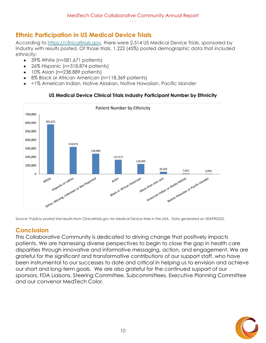#### **Ethnic Participation in US Medical Device Trials**

According to [https://clinicaltrials.gov,](https://clinicaltrials.gov/) there were 2,514 US Medical Device Trials, sponsored by Industry with results posted. Of those trials, 1,222 (45%) posted demographic data that included ethnicity:

- $\bullet$  39% White (n=581,671 patients)
- 26% Hispanic (n=318,874 patients)
- 10% Asian (n=238,889 patients)
- 8% Black or African American (n=118,369 patients)
- <1% American Indian, Native Alaskan, Native Hawaiian, Pacific Islander



#### **US Medical Device Clinical Trials Industry Participant Number by Ethnicity**

Source: Publicly posted trial results from Clinicaltrials.gov for Medical Device trials in the USA. Data generated on 20APR2022.

#### **Conclusion**

This Collaborative Community is dedicated to driving change that positively impacts patients. We are harnessing diverse perspectives to begin to close the gap in health care disparities through innovative and informative messaging, action, and engagement. We are grateful for the significant and transformative contributions of our support staff, who have been instrumental to our successes to date and critical in helping us to envision and achieve our short and long-term goals. We are also grateful for the continued support of our sponsors, FDA Liaisons, Steering Committee, Subcommittees, Executive Planning Committee and our convenor MedTech Color.